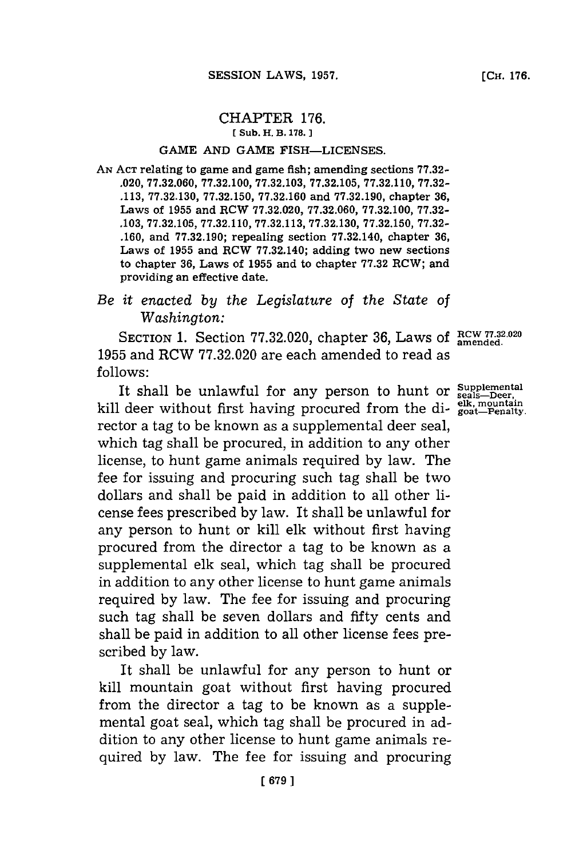### CHAPTER **176. (Sub. H. B. 178.]1**

#### **GAME AND GAME FISH-LICENSES.**

**AN ACT** relating to game and game fish; amending sections **77.32- .020, 77.32.060, 77.32.100, 77.32.103, 77.32.105, 77.32.110, 77.32- .113, 77.32.130, 77.32.150, 77.32.160** and **77.32.190,** chapter **36,** Laws of **1955** and RCW **77.32.020, 77.32.060, 77.32.100, 77.32- .103, 77.32.105, 77.32.110, 77.32.113, 77.32.130, 77.32.150, 77.32- .160,** and **77.32.190;** repealing section **77.32.140,** chapter **36,** Laws of **1955** and ROW **77.32.140;** adding two new sections to chapter **36,** Laws of **1955** and to chapter **77.32** RCW; and providing an effective date.

# *Be it enacted by the Legislature of the State of Washington:*

SECTION 1. Section 77.32.020, chapter 36, Laws of RCW 77.32.020 **1955** and RCW **77.32.020** are each amended to read as **follows:**

It shall be unlawful for any person to hunt or supplement **elk, mountain** kill deer without first having procured from the di- **goat-Penalty.** rector a tag to be known as a supplemental deer seal, which tag shall be procured, in addition to any other license, to hunt game animals required **by** law. The fee for issuing and procuring such tag shall be two dollars and shall be paid in addition to all other license fees prescribed **by** law. It shall be unlawful for any person to hunt or kill elk without first having procured from the director a tag to be known as a supplemental elk seal, which tag shall be procured in addition to any other license to hunt game animals required **by** law. The fee for issuing and procuring such tag shall be seven dollars and fifty cents and shall be paid in addition to all other license fees prescribed **by** law.

It shall be unlawful for any person to hunt or kill mountain goat without first having procured from the director a tag to be known as a supplemental goat seal, which tag shall be procured in addition to any other license to hunt game animals required **by** law. The fee for issuing and procuring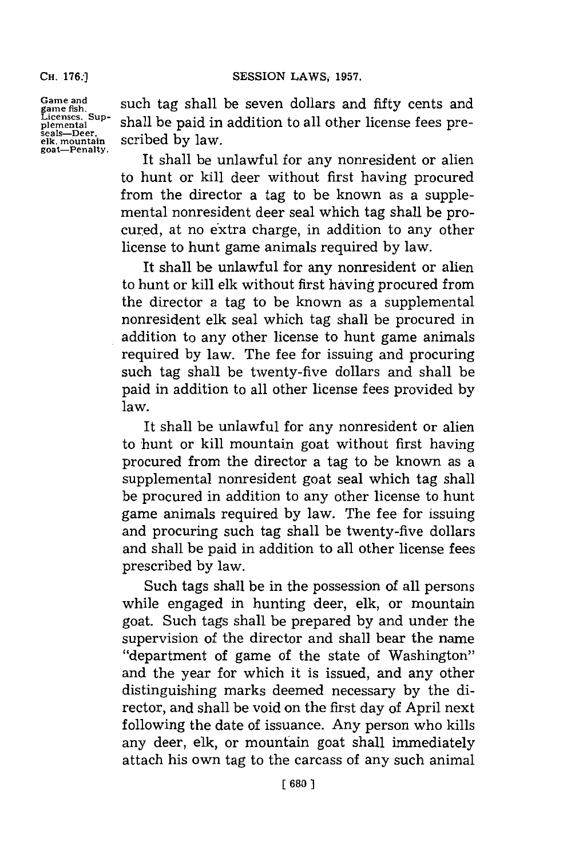**CH. 176:]**

**Game and game fish. Licenses. Sup- plemental seals-Deer' elk, mountain goat-Penalty.**

such tag shall be seven dollars and fifty cents and shall be paid in addition to all other license fees prescribed **by** law.

It shall be unlawful **for** any nonresident or alien to hunt or kill deer without first having procured from the director a tag to be known as a supplemental nonresident deer seal which tag shall be procured, at no extra charge, in addition to any other license to hunt game animals required **by** law.

It shall be unlawful for any nonresident or alien to hunt or kill elk without first having procured from the director a tag to be known as a supplemental nonresident elk seal which tag shall be procured in addition to any other license to hunt game animals required **by** law. The fee for issuing and procuring such tag shall be twenty-five dollars and shall be paid in addition to all other license fees provided **by** law.

It shall be unlawful for any nonresident or alien to hunt or kill mountain goat without first having procured from the director a tag to be known as a supplemental nonresident goat seal which tag shall be procured in addition to any other license to hunt game animals required **by** law. The fee for issuing and procuring such tag shall be twenty-five dollars and shall be paid in addition to all other license fees prescribed **by** law.

Such tags shall be in the possession of all persons while engaged in hunting deer, elk, or mountain goat. Such tags shall be prepared **by** and under the supervision of the director and shall bear the name "department of game of the state of Washington" and the year for which it is issued, and any other distinguishing marks deemed necessary **by** the director, and shall be void on the first day of April next following the date of issuance. Any person who kills any deer, elk, or mountain goat shall immediately attach his own tag to the carcass of any such animal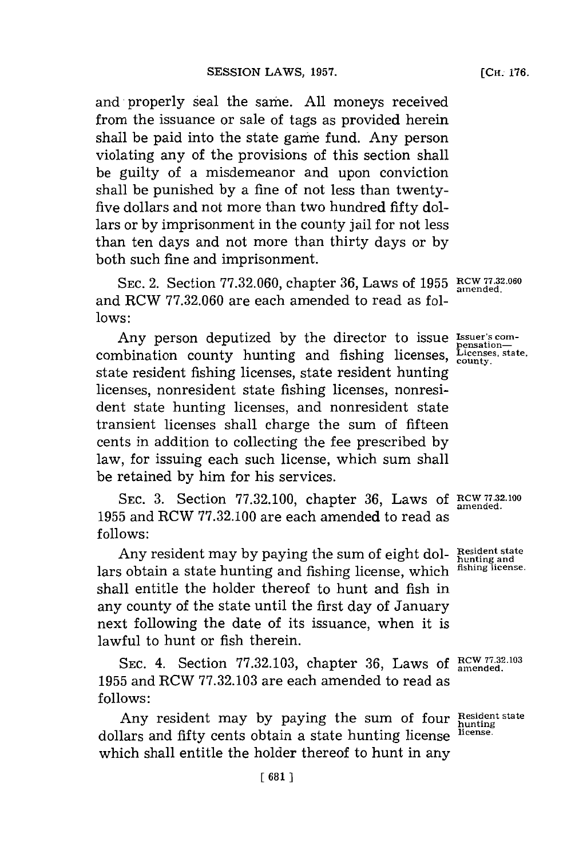and properly seal the same. All moneys received from the issuance or sale of tags as provided herein shall be paid into the state game fund. Any person violating any of the provisions of this section shall be guilty of a misdemeanor and upon conviction shall be punished **by** a fine of not less than twentyfive dollars and not more than two hundred fifty dollars or **by** imprisonment in the county jail for not less than ten days and not more than thirty days or **by** both such fine and imprisonment.

**Licenses, state,**

SEC. 2. Section 77.32.060, chapter 36, Laws of 1955 RCW 77.32.060 and RCW 77.32.060 are each amended to read as fol**lows:**

Any person deputized by the director to issue **Issuer's** comcombination county hunting and fishing licenses, *License* state resident fishing licenses, state resident hunting licenses, nonresident state fishing licenses, nonresident state hunting licenses, and nonresident state transient licenses shall charge the sum of fifteen cents in addition to collecting the fee prescribed by law, for issuing each such license, which sum shall be retained **by** him for his services.

**SEC. 3.** Section **77.32.100,** chapter **36,** Laws **of RCW7 <sup>7</sup> . <sup>2</sup> .100 1955** and RCW **77.32.100** are each amended to read as **f ollows:**

Any resident may **by** paying the sum of eight dol-**Resident state hunting and** lars obtain a state hunting and fishing license, which shall entitle the holder thereof to hunt and fish in any county of the state until the first day of January next following the date of its issuance, when it is lawful to hunt or fish therein.

SEC. 4. Section 77.32.103, chapter 36, Laws of  $R<sub>cm</sub>$  77.32.103 **1955** and RCW **77.32.103** are each amended to read as **follows:**

Any resident may **by** paying the sum of four **Resident state** dollars and fifty cents obtain a state hunting license which shall entitle the holder thereof to hunt in any

**fishing license.**

**hunting license.**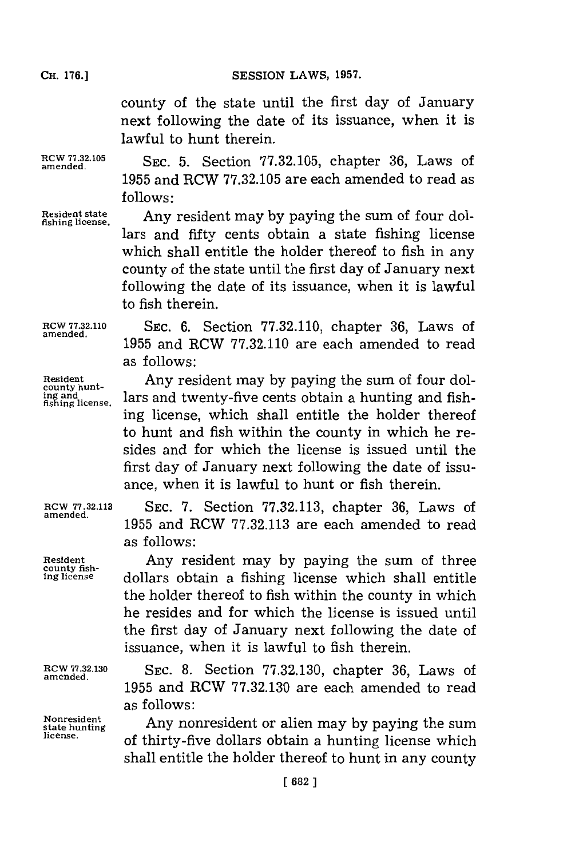**SESSION LAWS, 1957.** 

county of the state until the first day of January next following the date of its issuance, when it is lawful to hunt therein.

**RCW 77.32.105**<br>amended.

**amended.** SC5.Section **77.32.105,** chapter **36,** Laws of **1955** and RCW **77.32.105** are each amended to read as **follows:**

**Resident state**

**fishing license.** Any resident may **by** paying the sum of four dollars and fifty cents obtain a state fishing license which shall entitle the holder thereof to fish in any county of the state until the first day of January next following the date of its issuance, when it is lawful to fish therein.

**RCW 77.32.110 SEC. 6.** Section **77.32.110,** chapter **36,** Laws of **amended. 1955** and RCW **77.32.110** are each amended to read as follows:

Resident **Any resident may by paying the sum of four dolarity in a hunting and fishing license. lars and twenty-five cents obtain a hunting and fish**lars and twenty-five cents obtain a hunting and fishing license, which shall entitle the holder thereof to hunt and fish within the county in which he resides and for which the license is issued until the first day of January next following the date of issuance, when it is lawful to hunt or fish therein.

**ROW 77.32.113 SEC. 7.** Section **77.32.113,** chapter **36,** Laws of **amended. 1955** and RCW **77.32.113** are each amended to read as follows:

**Resident** Any resident may **by** paying the sum of three **county fishing license** dollars obtain a fishing license which shall entitle the holder thereof to fish within the county in which he resides and for which the license is issued until the first day of January next following the date of issuance, when it is lawful to fish therein.

**RCW 77.32.130 SEC. 8.** Section **77.32.130,** chapter **36,** Laws of **amended . 1955** and RCW **77.32.130** are each amended to read

as follows:<br> **Nonresident a**<br> **Any nonresident or alien may by paying the sum**<br>
license, of thirty-five dollars obtain a hunting license which shall entitle the holder thereof to hunt in any county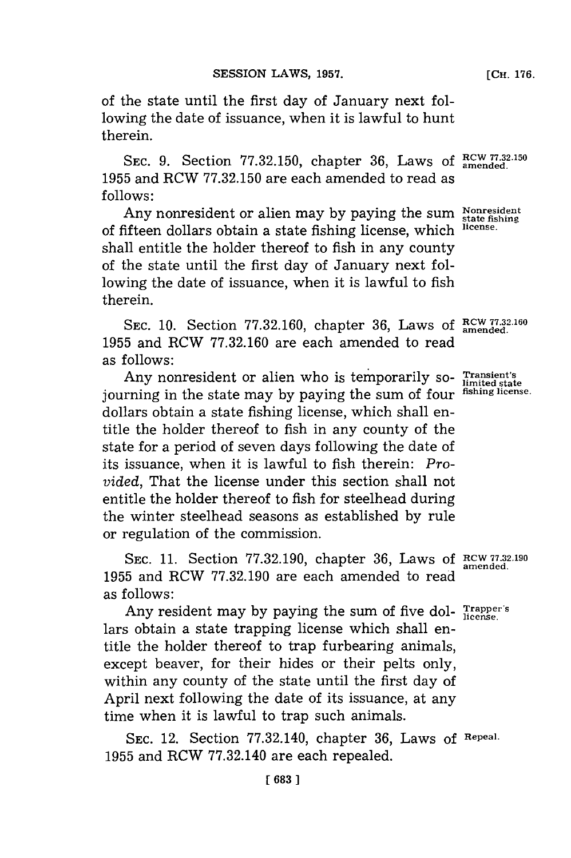therein.

of the state until the first day of January next following the date of issuance, when it is lawful to hunt

SEC. 9. Section 77.32.150, chapter 36, Laws of  $_{\text{amended}}^{\text{RCW 77.32.150}}$ **1955** and RCW **77.32.150** are each amended to read as **follows:**

Any nonresident or alien may by paying the sum Nonresident State fishing state fishing license. of fifteen dollars obtain a state fishing license, which **license.** shall entitle the holder thereof to fish in any county of the state until the first day of January next following the date of issuance, when it is lawful to fish therein.

SEC. 10. Section 77.32.160, chapter 36, Laws of  $\frac{RCW 77.32.160}{amended}$ **1955** and RCW **77.32.160** are each amended to read as follows:

Any nonresident or alien who is temporarily so- Transient's journing in the state may **by** paying the sum of four **fishing license.** dollars obtain a state fishing license, which shall entitle the holder thereof to fish in any county of the state for a period of seven days following the date of its issuance, when it is lawful to fish therein: *Provided,* That the license under this section shall not entitle the holder thereof to fish **for** steelhead during the winter steelhead seasons as established **by** rule or regulation of the commission.

**SEC. 11.** Section **77.32.190,** chapter **36,** Laws **of RCW 77.32,190 1955** and RCW **77.32.190** are each amended to read as follows:

Any resident may **by** paying the sum of five dol- **Trapper's** lars obtain a state trapping license which shall entitle the holder thereof to trap furbearing animals, except beaver, for their hides or their pelts only, within any county of the state until the first day of April next following the date of its issuance, at any time when it is lawful to trap such animals.

**SEC.** 12. Section **77.32.140,** chapter **36,** Laws **of Repeal. 1955** and RCW **77.32.140** are each repealed.

**[CH. 176.**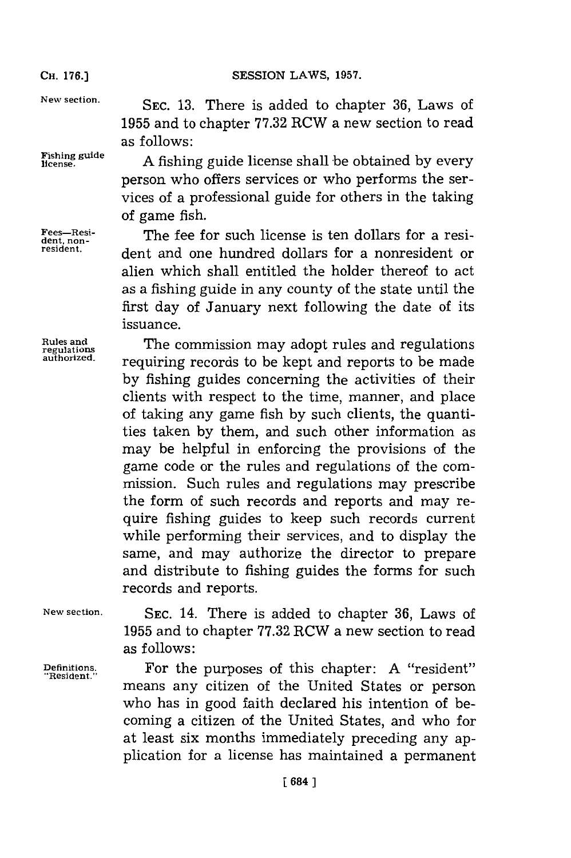**Rules and**

**New section. SEC. 13.** There is added to chapter **36,** Laws of **1955** and to chapter **77.32** RCW a new section to read as follows:

license.A fishing guide license shall be obtained **by** every person who offers services or who performs the services of a professional guide for others in the taking of game fish.

**Fees-Resi-**<br>dent.non-<br>**The fee for such license is ten dollars for a res** Fees<sup>-Resi</sup>dent, non-<br>resident. **a** dent and one hundred dollars for a nonresident or alien which shall entitled the holder thereof to act as a fishing guide in any county of the state until the first day of January next following the date of its issuance.

**regulation** The commission may adopt rules and regulations **authorized.** requiring records to be kept and reports to be made **by** fishing guides concerning the activities of their clients with respect to the time, manner, and place of taking any game fish **by** such clients, the quantities taken **by** them, and such other information as may be helpful in enforcing the provisions of the game code or the rules and regulations of the commission. Such rules and regulations may prescribe the form of such records and reports and may require fishing guides to keep such records current while performing their services, and to display the same, and may authorize the director to prepare and distribute to fishing guides the forms for such records and reports.

**New section. SEC.** 14. There is added to chapter **36,** Laws of **1955** and to chapter **77.32** RCW a new section to read as follows:

**Definitions.** For the purposes of this chapter: **A** "resident" **"Resident."** means any citizen of the United States or person who has in good faith declared his intention of becoming a citizen of the United States, and who for at least six months immediately preceding any application for a license has maintained a permanent